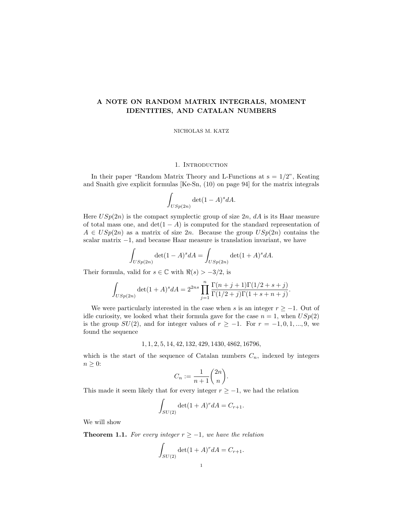# A NOTE ON RANDOM MATRIX INTEGRALS, MOMENT IDENTITIES, AND CATALAN NUMBERS

NICHOLAS M. KATZ

#### 1. INTRODUCTION

In their paper "Random Matrix Theory and L-Functions at  $s = 1/2$ ", Keating and Snaith give explicit formulas [Ke-Sn, (10) on page 94] for the matrix integrals

$$
\int_{USp(2n)} \det(1-A)^s dA.
$$

Here  $USp(2n)$  is the compact symplectic group of size  $2n$ , dA is its Haar measure of total mass one, and  $\det(1 - A)$  is computed for the standard representation of  $A \in USp(2n)$  as a matrix of size  $2n$ . Because the group  $USp(2n)$  contains the scalar matrix  $-1$ , and because Haar measure is translation invariant, we have

$$
\int_{USp(2n)} \det(1-A)^s dA = \int_{USp(2n)} \det(1+A)^s dA.
$$

Their formula, valid for  $s \in \mathbb{C}$  with  $\Re(s) > -3/2$ , is

$$
\int_{USp(2n)} \det(1+A)^s dA = 2^{2ns} \prod_{j=1}^n \frac{\Gamma(n+j+1)\Gamma(1/2+s+j)}{\Gamma(1/2+j)\Gamma(1+s+n+j)}.
$$

We were particularly interested in the case when s is an integer  $r \geq -1$ . Out of idle curiosity, we looked what their formula gave for the case  $n = 1$ , when  $USp(2)$ is the group  $SU(2)$ , and for integer values of  $r \ge -1$ . For  $r = -1, 0, 1, ..., 9$ , we found the sequence

1, 1, 2, 5, 14, 42, 132, 429, 1430, 4862, 16796,

which is the start of the sequence of Catalan numbers  $C_n$ , indexed by integers  $n\geq 0$ :

$$
C_n := \frac{1}{n+1} \binom{2n}{n}.
$$

This made it seem likely that for every integer  $r \geq -1$ , we had the relation

$$
\int_{SU(2)} \det(1+A)^r dA = C_{r+1}.
$$

We will show

**Theorem 1.1.** For every integer  $r \geq -1$ , we have the relation

$$
\int_{SU(2)} \det(1 + A)^r dA = C_{r+1}.
$$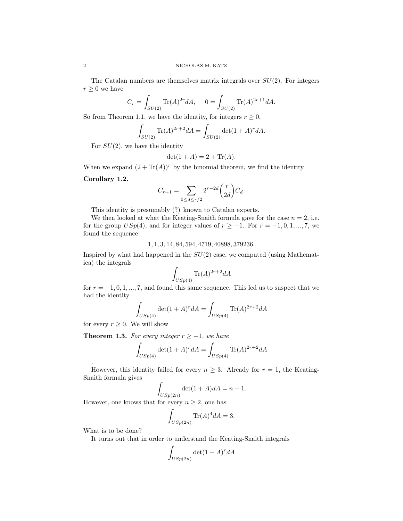The Catalan numbers are themselves matrix integrals over  $SU(2)$ . For integers  $r \geq 0$  we have

$$
C_r = \int_{SU(2)} \text{Tr}(A)^{2r} dA, \quad 0 = \int_{SU(2)} \text{Tr}(A)^{2r+1} dA.
$$

So from Theorem 1.1, we have the identity, for integers  $r \geq 0$ ,

$$
\int_{SU(2)} \text{Tr}(A)^{2r+2} dA = \int_{SU(2)} \det(1+A)^r dA.
$$

For  $SU(2)$ , we have the identity

$$
\det(1+A) = 2 + \text{Tr}(A).
$$

When we expand  $(2+\text{Tr}(A))^r$  by the binomial theorem, we find the identity

## Corollary 1.2.

$$
C_{r+1} = \sum_{0 \le d \le r/2} 2^{r-2d} \binom{r}{2d} C_d.
$$

This identity is presumably (?) known to Catalan experts.

We then looked at what the Keating-Snaith formula gave for the case  $n = 2$ , i.e. for the group  $USp(4)$ , and for integer values of  $r \ge -1$ . For  $r = -1, 0, 1, ..., 7$ , we found the sequence

## 1, 1, 3, 14, 84, 594, 4719, 40898, 379236.

Inspired by what had happened in the  $SU(2)$  case, we computed (using Mathematica) the integrals

$$
\int_{USp(4)} \text{Tr}(A)^{2r+2} dA
$$

for  $r = -1, 0, 1, ..., 7$ , and found this same sequence. This led us to suspect that we had the identity

$$
\int_{USp(4)} \det(1+A)^r dA = \int_{USp(4)} \text{Tr}(A)^{2r+2} dA
$$

for every  $r \geq 0$ . We will show

**Theorem 1.3.** For every integer  $r \geq -1$ , we have

$$
\int_{USp(4)} \det(1+A)^r dA = \int_{USp(4)} \text{Tr}(A)^{2r+2} dA
$$

However, this identity failed for every  $n \geq 3$ . Already for  $r = 1$ , the Keating-Snaith formula gives

$$
\int_{USp(2n)} \det(1+A)dA = n+1.
$$

However, one knows that for every  $n \geq 2$ , one has

$$
\int_{USp(2n)} \text{Tr}(A)^4 dA = 3.
$$

What is to be done?

.

It turns out that in order to understand the Keating-Snaith integrals

$$
\int_{USp(2n)} \det(1+A)^r dA
$$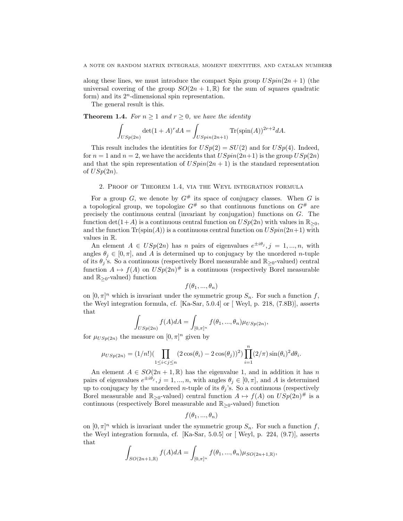along these lines, we must introduce the compact Spin group  $USpin(2n + 1)$  (the universal covering of the group  $SO(2n + 1, \mathbb{R})$  for the sum of squares quadratic form) and its  $2<sup>n</sup>$ -dimensional spin representation.

The general result is this.

**Theorem 1.4.** For  $n \geq 1$  and  $r \geq 0$ , we have the identity

$$
\int_{USp(2n)} \det(1+A)^r dA = \int_{USpin(2n+1)} \text{Tr}(\text{spin}(A))^{2r+2} dA.
$$

This result includes the identities for  $USp(2) = SU(2)$  and for  $USp(4)$ . Indeed, for  $n = 1$  and  $n = 2$ , we have the accidents that  $USpin(2n+1)$  is the group  $USp(2n)$ and that the spin representation of  $USpin(2n + 1)$  is the standard representation of  $USp(2n)$ .

#### 2. Proof of Theorem 1.4, via the Weyl integration formula

For a group G, we denote by  $G^{\#}$  its space of conjugacy classes. When G is a topological group, we topologize  $G^{\#}$  so that continuous functions on  $G^{\#}$  are precisely the continuous central (invariant by conjugation) functions on G. The function det(1+A) is a continuous central function on  $USp(2n)$  with values in  $\mathbb{R}_{>0}$ , and the function  $\text{Tr}(\text{spin}(A))$  is a continuous central function on  $USpin(2n+1)$  with values in R.

An element  $A \in USp(2n)$  has n pairs of eigenvalues  $e^{\pm i\theta_j}, j = 1, ..., n$ , with angles  $\theta_i \in [0, \pi]$ , and A is determined up to conjugacy by the unordered n-tuple of its  $\theta_i$ 's. So a continuous (respectively Borel measurable and  $\mathbb{R}_{\geq 0}$ -valued) central function  $A \mapsto f(A)$  on  $USp(2n)^{\#}$  is a continuous (respectively Borel measurable and  $\mathbb{R}_{\geq 0}$ -valued) function

 $f(\theta_1, ..., \theta_n)$ 

on  $[0, \pi]^n$  which is invariant under the symmetric group  $S_n$ . For such a function f, the Weyl integration formula, cf. [Ka-Sar, 5.0.4] or [ Weyl, p. 218, (7.8B)], asserts that

$$
\int_{USp(2n)} f(A)dA = \int_{[0,\pi]^n} f(\theta_1, ..., \theta_n) \mu_{USp(2n)},
$$

for  $\mu_{USp(2n)}$  the measure on  $[0, \pi]^n$  given by

$$
\mu_{USp(2n)} = (1/n!)(\prod_{1 \le i < j \le n} (2\cos(\theta_i) - 2\cos(\theta_j))^2) \prod_{i=1}^n (2/\pi) \sin(\theta_i)^2 d\theta_i.
$$

An element  $A \in SO(2n + 1, \mathbb{R})$  has the eigenvalue 1, and in addition it has n pairs of eigenvalues  $e^{\pm i\theta_j}$ ,  $j = 1, ..., n$ , with angles  $\theta_j \in [0, \pi]$ , and A is determined up to conjugacy by the unordered *n*-tuple of its  $\theta_i$ 's. So a continuous (respectively Borel measurable and  $\mathbb{R}_{\geq 0}$ -valued) central function  $A \mapsto f(A)$  on  $USp(2n)^{\#}$  is a continuous (respectively Borel measurable and  $\mathbb{R}_{\geq 0}$ -valued) function

$$
f(\theta_1, ..., \theta_n)
$$

on  $[0, \pi]^n$  which is invariant under the symmetric group  $S_n$ . For such a function f, the Weyl integration formula, cf. [Ka-Sar, 5.0.5] or [ Weyl, p. 224, (9.7)], asserts that

$$
\int_{SO(2n+1,\mathbb{R})} f(A) dA = \int_{[0,\pi]^n} f(\theta_1, ..., \theta_n) \mu_{SO(2n+1,\mathbb{R})},
$$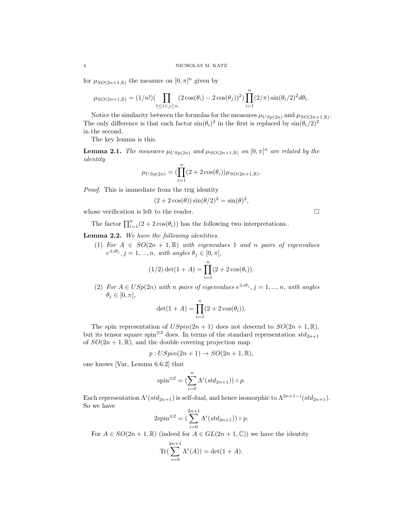for  $\mu_{SO(2n+1,\mathbb{R})}$  the measure on  $[0,\pi]^n$  given by

$$
\mu_{SO(2n+1,\mathbb{R})} = (1/n!)(\prod_{1 \leq i < j \leq n} (2\cos(\theta_i) - 2\cos(\theta_j))^2) \prod_{i=1}^n (2/\pi) \sin(\theta_i/2)^2 d\theta_i.
$$

Notice the similarity between the formulas for the measures  $\mu_{USp(2n)}$  and  $\mu_{SO(2n+1,\mathbb{R})}$ . The only difference is that each factor  $\sin(\theta_i)^2$  in the first is replaced by  $\sin(\theta_i/2)^2$ in the second.

The key lemma is this.

**Lemma 2.1.** The measures  $\mu_{USp(2n)}$  and  $\mu_{SO(2n+1,\mathbb{R})}$  on  $[0,\pi]^n$  are related by the identity

$$
\mu_{USp(2n)} = (\prod_{i=1}^{n} (2 + 2\cos(\theta_i)) \mu_{SO(2n+1,\mathbb{R})}.
$$

Proof. This is immediate from the trig identity

$$
(2 + 2\cos(\theta))\sin(\theta/2)^2 = \sin(\theta)^2,
$$

whose verification is left to the reader.  $\Box$ 

The factor  $\prod_{i=1}^{n} (2 + 2 \cos(\theta_i))$  has the following two interpretations..

Lemma 2.2. We have the following identities.

(1) For  $A \in SO(2n + 1, \mathbb{R})$  with eigenvalues 1 and n pairs of eigenvalues  $e^{\pm i\theta_j}, j = 1, ..., n$ , with angles  $\theta_j \in [0, \pi]$ ,

$$
(1/2)\det(1+A) = \prod_{i=1}^{n} (2 + 2\cos(\theta_i)).
$$

(2) For  $A \in USp(2n)$  with n pairs of eigenvalues  $e^{\pm i\theta_j}, j = 1, ..., n$ , with angles  $\theta_j \in [0, \pi],$ 

$$
\det(1 + A) = \prod_{i=1}^{n} (2 + 2\cos(\theta_i)).
$$

The spin representation of  $USpin(2n + 1)$  does not descend to  $SO(2n + 1, \mathbb{R})$ , but its tensor square spin<sup>⊗2</sup> does. In terms of the standard representation  $std_{2n+1}$ of  $SO(2n+1,\mathbb{R})$ , and the double covering projection map

$$
p: USpin(2n + 1) \rightarrow SO(2n + 1, \mathbb{R}),
$$

one knows [Var, Lemma 6.6.2] that

$$
\operatorname{spin}^{\otimes 2} = \left(\sum_{i=0}^{n} \Lambda^{i}(std_{2n+1})\right) \circ p.
$$

Each representation  $\Lambda^{i}(std_{2n+1})$  is self-dual, and hence isomorphic to  $\Lambda^{2n+1-i}(std_{2n+1})$ . So we have

$$
2\text{spin}^{\otimes 2} = \left(\sum_{i=0}^{2n+1} \Lambda^i(std_{2n+1})\right) \circ p.
$$

For  $A \in SO(2n + 1, \mathbb{R})$  (indeed for  $A \in GL(2n + 1, \mathbb{C})$ ) we have the identity

Tr(
$$
\sum_{i=0}^{2n+1} \Lambda^{i}(A)
$$
) = det(1 + A).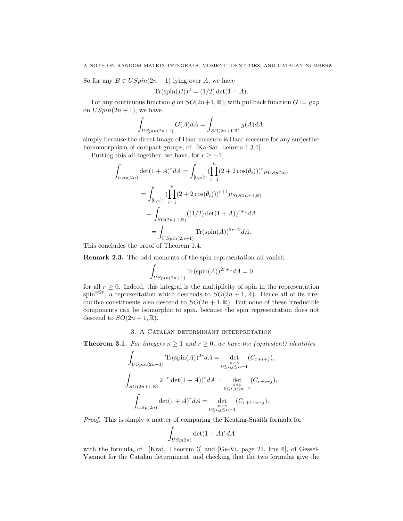So for any  $B \in USpin(2n + 1)$  lying over A, we have

$$
Tr(\text{spin}(B))^2 = (1/2) \det(1 + A).
$$

For any continuous function q on  $SO(2n+1,\mathbb{R})$ , with pullback function  $G := q \circ p$ on  $USpin(2n + 1)$ , we have

$$
\int_{USpin(2n+1)} G(A)dA = \int_{SO(2n+1,\mathbb{R})} g(A)dA,
$$

simply because the direct image of Haar measure is Haar measure for any surjective homomorphism of compact groups, cf. [Ka-Sar, Lemma 1.3.1].

Putting this all together, we have, for  $r \ge -1$ ,

$$
\int_{USp(2n)} \det(1+A)^r dA = \int_{[0,\pi]^n} (\prod_{i=1}^n (2+2\cos(\theta_i)))^r \mu_{USp(2n)}
$$

$$
= \int_{[0,\pi]^n} (\prod_{i=1}^n (2+2\cos(\theta_i)))^{r+1} \mu_{SO(2n+1,\mathbb{R})}
$$

$$
= \int_{SO(2n+1,\mathbb{R})} ((1/2)\det(1+A))^{r+1} dA
$$

$$
= \int_{USpin(2n+1)} \text{Tr}(\text{spin}(A))^{2r+2} dA.
$$

This concludes the proof of Theorem 1.4.

Remark 2.3. The odd moments of the spin representation all vanish:

$$
\int_{USpin(2n+1)} \text{Tr}(\text{spin}(A))^{2r+1} dA = 0
$$

for all  $r \geq 0$ . Indeed, this integral is the multiplicity of spin in the representation spin<sup>⊗2r</sup>, a representation which descends to  $SO(2n+1,\mathbb{R})$ . Hence all of its irreducible constituents also descend to  $SO(2n + 1, \mathbb{R})$ . But none of these irreducible components can be isomorphic to spin, because the spin representation does not descend to  $SO(2n+1,\mathbb{R})$ .

## 3. A Catalan determinant interpretation

**Theorem 3.1.** For integers  $n \geq 1$  and  $r \geq 0$ , we have the (equivalent) identities

$$
\int_{USpin(2n+1)} \text{Tr}(\text{spin}(A))^{2r} dA = \det_{0 \le i,j \le n-1} (C_{r+i+j}),
$$
\n
$$
\int_{SO(2n+1,\mathbb{R})} 2^{-r} \det(1+A)^{r} dA = \det_{0 \le i,j \le n-1} (C_{r+i+j}),
$$
\n
$$
\int_{USp(2n)} \det(1+A)^{r} dA = \det_{0 \le i,j \le n-1} (C_{r+1+i+j}).
$$

Proof. This is simply a matter of comparing the Keating-Snaith formula for

$$
\int_{USp(2n)} \det(1+A)^r dA
$$

with the formula, cf. [Krat, Theorem 3] and [Ge-Vi, page 21, line 6], of Gessel-Viennot for the Catalan determinant, and checking that the two formulas give the